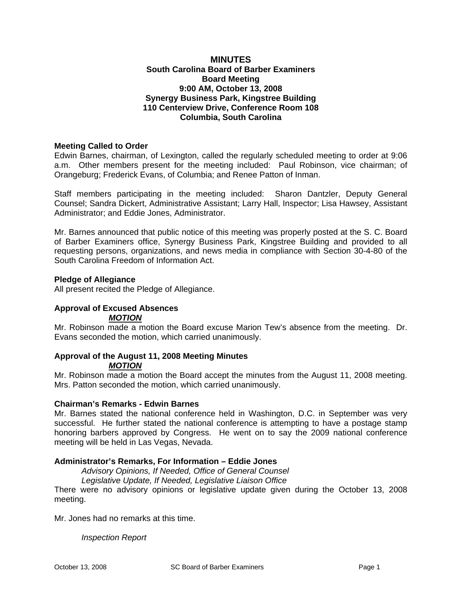## **MINUTES South Carolina Board of Barber Examiners Board Meeting 9:00 AM, October 13, 2008 Synergy Business Park, Kingstree Building 110 Centerview Drive, Conference Room 108 Columbia, South Carolina**

## **Meeting Called to Order**

Edwin Barnes, chairman, of Lexington, called the regularly scheduled meeting to order at 9:06 a.m. Other members present for the meeting included: Paul Robinson, vice chairman; of Orangeburg; Frederick Evans, of Columbia; and Renee Patton of Inman.

Staff members participating in the meeting included: Sharon Dantzler, Deputy General Counsel; Sandra Dickert, Administrative Assistant; Larry Hall, Inspector; Lisa Hawsey, Assistant Administrator; and Eddie Jones, Administrator.

Mr. Barnes announced that public notice of this meeting was properly posted at the S. C. Board of Barber Examiners office, Synergy Business Park, Kingstree Building and provided to all requesting persons, organizations, and news media in compliance with Section 30-4-80 of the South Carolina Freedom of Information Act.

## **Pledge of Allegiance**

All present recited the Pledge of Allegiance.

# **Approval of Excused Absences**

*MOTION*

Mr. Robinson made a motion the Board excuse Marion Tew's absence from the meeting. Dr. Evans seconded the motion, which carried unanimously.

#### **Approval of the August 11, 2008 Meeting Minutes** *MOTION*

Mr. Robinson made a motion the Board accept the minutes from the August 11, 2008 meeting. Mrs. Patton seconded the motion, which carried unanimously.

## **Chairman's Remarks - Edwin Barnes**

Mr. Barnes stated the national conference held in Washington, D.C. in September was very successful. He further stated the national conference is attempting to have a postage stamp honoring barbers approved by Congress. He went on to say the 2009 national conference meeting will be held in Las Vegas, Nevada.

## **Administrator's Remarks, For Information – Eddie Jones**

*Advisory Opinions, If Needed, Office of General Counsel* 

*Legislative Update, If Needed, Legislative Liaison Office* 

There were no advisory opinions or legislative update given during the October 13, 2008 meeting.

Mr. Jones had no remarks at this time.

*Inspection Report*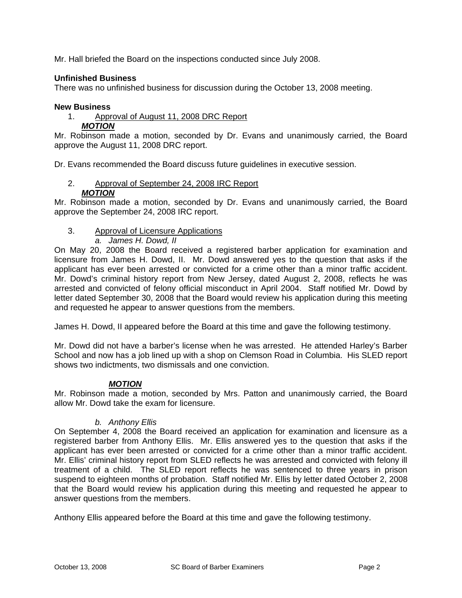Mr. Hall briefed the Board on the inspections conducted since July 2008.

## **Unfinished Business**

There was no unfinished business for discussion during the October 13, 2008 meeting.

## **New Business**

- 1. Approval of August 11, 2008 DRC Report
	- *MOTION*

Mr. Robinson made a motion, seconded by Dr. Evans and unanimously carried, the Board approve the August 11, 2008 DRC report.

Dr. Evans recommended the Board discuss future guidelines in executive session.

## 2. Approval of September 24, 2008 IRC Report *MOTION*

Mr. Robinson made a motion, seconded by Dr. Evans and unanimously carried, the Board approve the September 24, 2008 IRC report.

## 3. Approval of Licensure Applications

*a. James H. Dowd, II* 

On May 20, 2008 the Board received a registered barber application for examination and licensure from James H. Dowd, II. Mr. Dowd answered yes to the question that asks if the applicant has ever been arrested or convicted for a crime other than a minor traffic accident. Mr. Dowd's criminal history report from New Jersey, dated August 2, 2008, reflects he was arrested and convicted of felony official misconduct in April 2004. Staff notified Mr. Dowd by letter dated September 30, 2008 that the Board would review his application during this meeting and requested he appear to answer questions from the members.

James H. Dowd, II appeared before the Board at this time and gave the following testimony.

Mr. Dowd did not have a barber's license when he was arrested. He attended Harley's Barber School and now has a job lined up with a shop on Clemson Road in Columbia. His SLED report shows two indictments, two dismissals and one conviction.

# *MOTION*

Mr. Robinson made a motion, seconded by Mrs. Patton and unanimously carried, the Board allow Mr. Dowd take the exam for licensure.

## *b. Anthony Ellis*

On September 4, 2008 the Board received an application for examination and licensure as a registered barber from Anthony Ellis. Mr. Ellis answered yes to the question that asks if the applicant has ever been arrested or convicted for a crime other than a minor traffic accident. Mr. Ellis' criminal history report from SLED reflects he was arrested and convicted with felony ill treatment of a child. The SLED report reflects he was sentenced to three years in prison suspend to eighteen months of probation. Staff notified Mr. Ellis by letter dated October 2, 2008 that the Board would review his application during this meeting and requested he appear to answer questions from the members.

Anthony Ellis appeared before the Board at this time and gave the following testimony.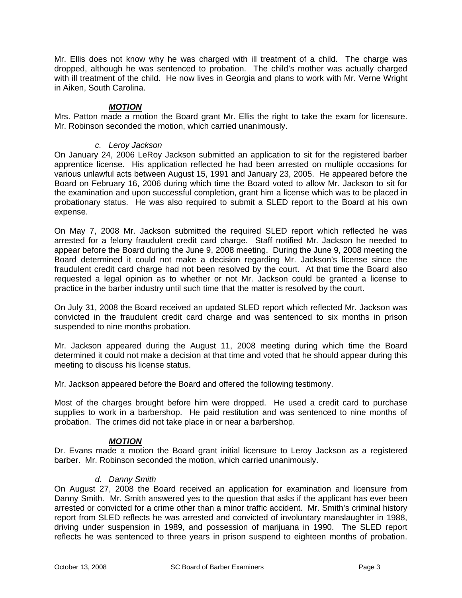Mr. Ellis does not know why he was charged with ill treatment of a child. The charge was dropped, although he was sentenced to probation. The child's mother was actually charged with ill treatment of the child. He now lives in Georgia and plans to work with Mr. Verne Wright in Aiken, South Carolina.

## *MOTION*

Mrs. Patton made a motion the Board grant Mr. Ellis the right to take the exam for licensure. Mr. Robinson seconded the motion, which carried unanimously.

## *c. Leroy Jackson*

On January 24, 2006 LeRoy Jackson submitted an application to sit for the registered barber apprentice license. His application reflected he had been arrested on multiple occasions for various unlawful acts between August 15, 1991 and January 23, 2005. He appeared before the Board on February 16, 2006 during which time the Board voted to allow Mr. Jackson to sit for the examination and upon successful completion, grant him a license which was to be placed in probationary status. He was also required to submit a SLED report to the Board at his own expense.

On May 7, 2008 Mr. Jackson submitted the required SLED report which reflected he was arrested for a felony fraudulent credit card charge. Staff notified Mr. Jackson he needed to appear before the Board during the June 9, 2008 meeting. During the June 9, 2008 meeting the Board determined it could not make a decision regarding Mr. Jackson's license since the fraudulent credit card charge had not been resolved by the court. At that time the Board also requested a legal opinion as to whether or not Mr. Jackson could be granted a license to practice in the barber industry until such time that the matter is resolved by the court.

On July 31, 2008 the Board received an updated SLED report which reflected Mr. Jackson was convicted in the fraudulent credit card charge and was sentenced to six months in prison suspended to nine months probation.

Mr. Jackson appeared during the August 11, 2008 meeting during which time the Board determined it could not make a decision at that time and voted that he should appear during this meeting to discuss his license status.

Mr. Jackson appeared before the Board and offered the following testimony.

Most of the charges brought before him were dropped. He used a credit card to purchase supplies to work in a barbershop. He paid restitution and was sentenced to nine months of probation. The crimes did not take place in or near a barbershop.

# *MOTION*

Dr. Evans made a motion the Board grant initial licensure to Leroy Jackson as a registered barber. Mr. Robinson seconded the motion, which carried unanimously.

## *d. Danny Smith*

On August 27, 2008 the Board received an application for examination and licensure from Danny Smith. Mr. Smith answered yes to the question that asks if the applicant has ever been arrested or convicted for a crime other than a minor traffic accident. Mr. Smith's criminal history report from SLED reflects he was arrested and convicted of involuntary manslaughter in 1988, driving under suspension in 1989, and possession of marijuana in 1990. The SLED report reflects he was sentenced to three years in prison suspend to eighteen months of probation.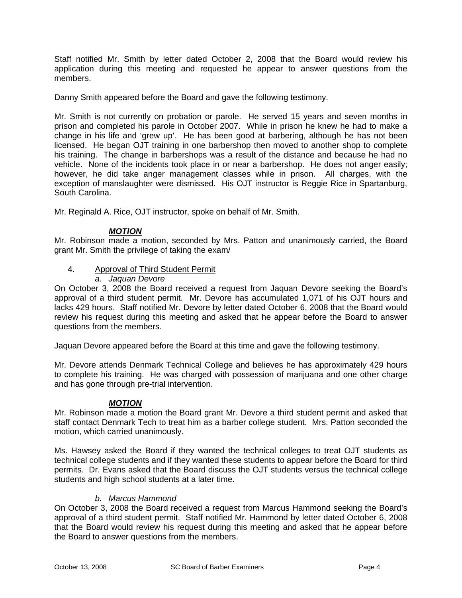Staff notified Mr. Smith by letter dated October 2, 2008 that the Board would review his application during this meeting and requested he appear to answer questions from the members.

Danny Smith appeared before the Board and gave the following testimony.

Mr. Smith is not currently on probation or parole. He served 15 years and seven months in prison and completed his parole in October 2007. While in prison he knew he had to make a change in his life and 'grew up'. He has been good at barbering, although he has not been licensed. He began OJT training in one barbershop then moved to another shop to complete his training. The change in barbershops was a result of the distance and because he had no vehicle. None of the incidents took place in or near a barbershop. He does not anger easily; however, he did take anger management classes while in prison. All charges, with the exception of manslaughter were dismissed. His OJT instructor is Reggie Rice in Spartanburg, South Carolina.

Mr. Reginald A. Rice, OJT instructor, spoke on behalf of Mr. Smith.

# *MOTION*

Mr. Robinson made a motion, seconded by Mrs. Patton and unanimously carried, the Board grant Mr. Smith the privilege of taking the exam/

- 4. Approval of Third Student Permit
	- *a. Jaquan Devore*

On October 3, 2008 the Board received a request from Jaquan Devore seeking the Board's approval of a third student permit. Mr. Devore has accumulated 1,071 of his OJT hours and lacks 429 hours. Staff notified Mr. Devore by letter dated October 6, 2008 that the Board would review his request during this meeting and asked that he appear before the Board to answer questions from the members.

Jaquan Devore appeared before the Board at this time and gave the following testimony.

Mr. Devore attends Denmark Technical College and believes he has approximately 429 hours to complete his training. He was charged with possession of marijuana and one other charge and has gone through pre-trial intervention.

# *MOTION*

Mr. Robinson made a motion the Board grant Mr. Devore a third student permit and asked that staff contact Denmark Tech to treat him as a barber college student. Mrs. Patton seconded the motion, which carried unanimously.

Ms. Hawsey asked the Board if they wanted the technical colleges to treat OJT students as technical college students and if they wanted these students to appear before the Board for third permits. Dr. Evans asked that the Board discuss the OJT students versus the technical college students and high school students at a later time.

## *b. Marcus Hammond*

On October 3, 2008 the Board received a request from Marcus Hammond seeking the Board's approval of a third student permit. Staff notified Mr. Hammond by letter dated October 6, 2008 that the Board would review his request during this meeting and asked that he appear before the Board to answer questions from the members.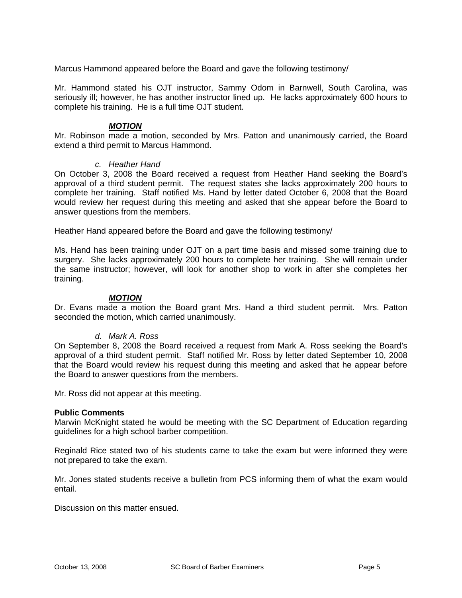Marcus Hammond appeared before the Board and gave the following testimony/

Mr. Hammond stated his OJT instructor, Sammy Odom in Barnwell, South Carolina, was seriously ill; however, he has another instructor lined up. He lacks approximately 600 hours to complete his training. He is a full time OJT student.

## *MOTION*

Mr. Robinson made a motion, seconded by Mrs. Patton and unanimously carried, the Board extend a third permit to Marcus Hammond.

## *c. Heather Hand*

On October 3, 2008 the Board received a request from Heather Hand seeking the Board's approval of a third student permit. The request states she lacks approximately 200 hours to complete her training. Staff notified Ms. Hand by letter dated October 6, 2008 that the Board would review her request during this meeting and asked that she appear before the Board to answer questions from the members.

Heather Hand appeared before the Board and gave the following testimony/

Ms. Hand has been training under OJT on a part time basis and missed some training due to surgery. She lacks approximately 200 hours to complete her training. She will remain under the same instructor; however, will look for another shop to work in after she completes her training.

## *MOTION*

Dr. Evans made a motion the Board grant Mrs. Hand a third student permit. Mrs. Patton seconded the motion, which carried unanimously.

## *d. Mark A. Ross*

On September 8, 2008 the Board received a request from Mark A. Ross seeking the Board's approval of a third student permit. Staff notified Mr. Ross by letter dated September 10, 2008 that the Board would review his request during this meeting and asked that he appear before the Board to answer questions from the members.

Mr. Ross did not appear at this meeting.

## **Public Comments**

Marwin McKnight stated he would be meeting with the SC Department of Education regarding guidelines for a high school barber competition.

Reginald Rice stated two of his students came to take the exam but were informed they were not prepared to take the exam.

Mr. Jones stated students receive a bulletin from PCS informing them of what the exam would entail.

Discussion on this matter ensued.